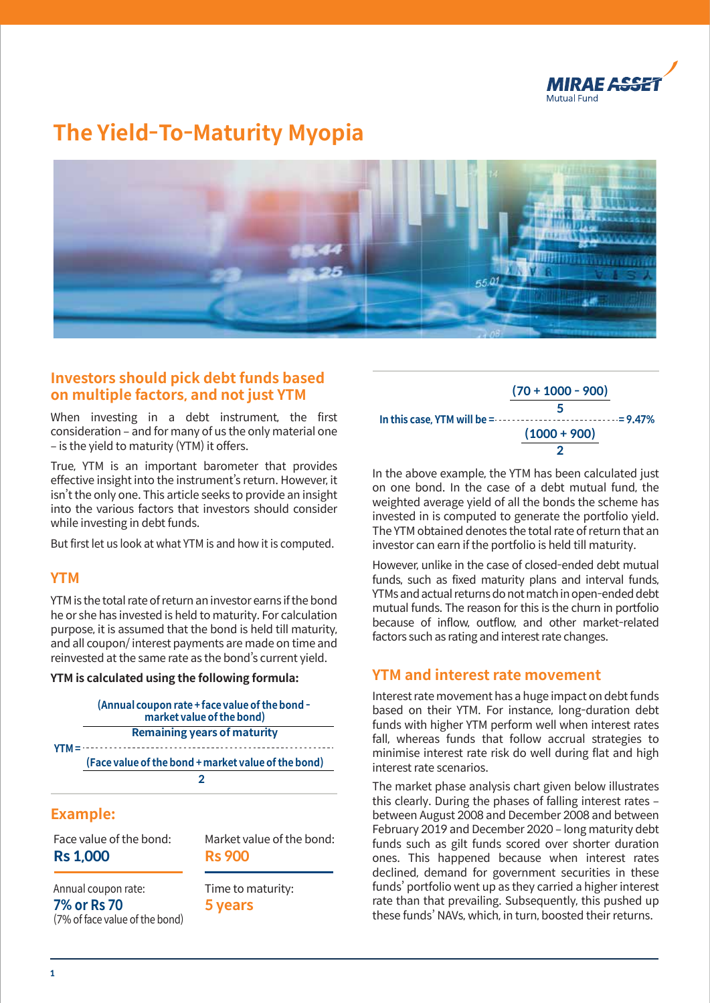

# **The Yield-To-Maturity Myopia**



### **Investors should pick debt funds based on multiple factors, and not just YTM**

When investing in a debt instrument, the first consideration – and for many of us the only material one ‒ is the yield to maturity (YTM) it offers.

True, YTM is an important barometer that provides effective insight into the instrument's return. However, it isn't the only one. This article seeks to provide an insight into the various factors that investors should consider while investing in debt funds.

But first let us look at what YTM is and how it is computed.

### **YTM**

YTM is the total rate of return an investor earns if the bond he or she has invested is held to maturity. For calculation purpose, it is assumed that the bond is held till maturity, and all coupon/ interest payments are made on time and reinvested at the same rate as the bond's current yield.

#### **YTM is calculated using the following formula:**

|  | (Annual coupon rate + face value of the bond -<br>market value of the bond) |
|--|-----------------------------------------------------------------------------|
|  | <b>Remaining years of maturity</b>                                          |
|  | (Face value of the bond + market value of the bond)                         |
|  |                                                                             |
|  |                                                                             |

# **Example:**

Face value of the bond: **Rs 1,000**

Market value of the bond: **Rs 900**

Annual coupon rate: **7% or Rs 70** (7% of face value of the bond) Time to maturity: **5 years**



In the above example, the YTM has been calculated just on one bond. In the case of a debt mutual fund, the weighted average yield of all the bonds the scheme has invested in is computed to generate the portfolio yield. The YTM obtained denotes the total rate of return that an investor can earn if the portfolio is held till maturity.

However, unlike in the case of closed-ended debt mutual funds, such as fixed maturity plans and interval funds, YTMs and actual returns do not match in open-ended debt mutual funds. The reason for this is the churn in portfolio because of inflow, outflow, and other market-related factors such as rating and interest rate changes.

### **YTM and interest rate movement**

Interest rate movement has a huge impact on debt funds based on their YTM. For instance, long-duration debt funds with higher YTM perform well when interest rates fall, whereas funds that follow accrual strategies to minimise interest rate risk do well during flat and high interest rate scenarios.

The market phase analysis chart given below illustrates this clearly. During the phases of falling interest rates between August 2008 and December 2008 and between February 2019 and December 2020 - long maturity debt funds such as gilt funds scored over shorter duration ones. This happened because when interest rates declined, demand for government securities in these funds' portfolio went up as they carried a higher interest rate than that prevailing. Subsequently, this pushed up these funds' NAVs, which, in turn, boosted their returns.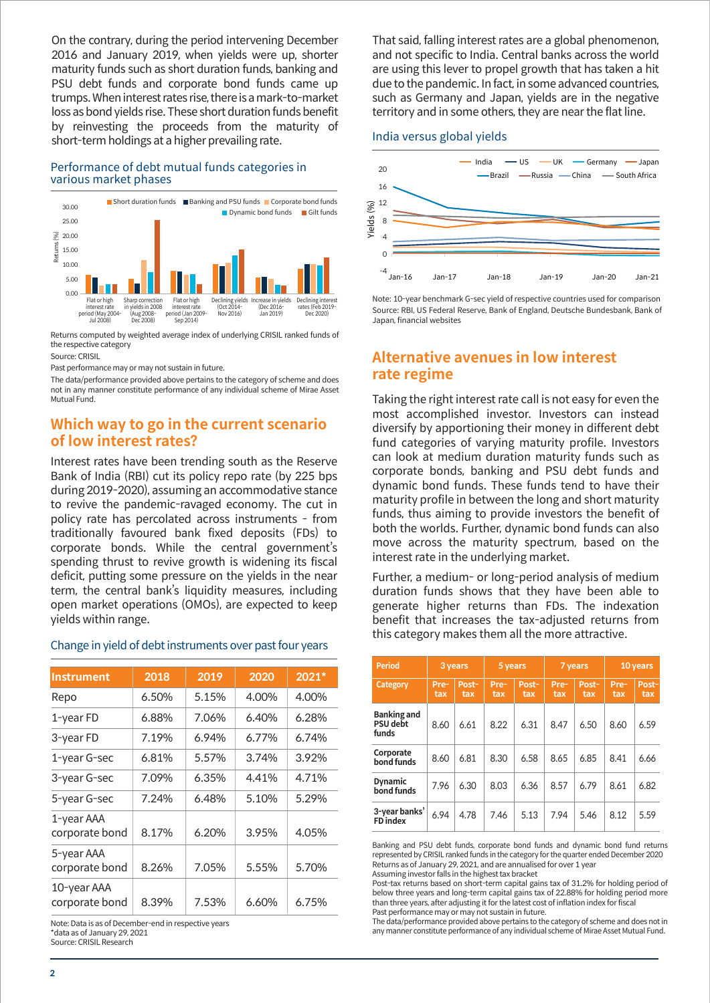On the contrary, during the period intervening December 2016 and January 2019, when yields were up, shorter maturity funds such as short duration funds, banking and PSU debt funds and corporate bond funds came up trumps. When interest rates rise, there is a mark-to-market loss as bond yields rise. These short duration funds benefit by reinvesting the proceeds from the maturity of short-term holdings at a higher prevailing rate.

#### Performance of debt mutual funds categories in various market phases



Returns computed by weighted average index of underlying CRISIL ranked funds of the respective category

Source: CRISIL

Past performance may or may not sustain in future.

The data/performance provided above pertains to the category of scheme and does not in any manner constitute performance of any individual scheme of Mirae Asset Mutual Fund.

### **Which way to go in the current scenario of low interest rates?**

Interest rates have been trending south as the Reserve Bank of India (RBI) cut its policy repo rate (by 225 bps during 2019-2020), assuming an accommodative stance to revive the pandemic-ravaged economy. The cut in policy rate has percolated across instruments - from traditionally favoured bank fixed deposits (FDs) to corporate bonds. While the central government's spending thrust to revive growth is widening its fiscal deficit, putting some pressure on the yields in the near term, the central bank's liquidity measures, including open market operations (OMOs), are expected to keep yields within range.

#### Change in yield of debt instruments over past four years

| <b>Instrument</b>             | 2018  | 2019  | 2020  | 2021* |
|-------------------------------|-------|-------|-------|-------|
| Repo                          | 6.50% | 5.15% | 4.00% | 4.00% |
| 1-year FD                     | 6.88% | 7.06% | 6.40% | 6.28% |
| 3-year FD                     | 7.19% | 6.94% | 6.77% | 6.74% |
| 1-year G-sec                  | 6.81% | 5.57% | 3.74% | 3.92% |
| 3-year G-sec                  | 7.09% | 6.35% | 4.41% | 4.71% |
| 5-year G-sec                  | 7.24% | 6.48% | 5.10% | 5.29% |
| 1-year AAA<br>corporate bond  | 8.17% | 6.20% | 3.95% | 4.05% |
| 5-year AAA<br>corporate bond  | 8.26% | 7.05% | 5.55% | 5.70% |
| 10-year AAA<br>corporate bond | 8.39% | 7.53% | 6.60% | 6.75% |

Note: Data is as of December-end in respective years \*data as of January 29, 2021 Source: CRISIL Research

That said, falling interest rates are a global phenomenon, and not specific to India. Central banks across the world are using this lever to propel growth that has taken a hit due to the pandemic. In fact, in some advanced countries, such as Germany and Japan, yields are in the negative territory and in some others, they are near the flat line.

#### India versus global yields



Note: 10-year benchmark G-sec yield of respective countries used for comparison Source: RBI, US Federal Reserve, Bank of England, Deutsche Bundesbank, Bank of Japan, financial websites

# **Alternative avenues in low interest rate regime**

Taking the right interest rate call is not easy for even the most accomplished investor. Investors can instead diversify by apportioning their money in different debt fund categories of varying maturity profile. Investors can look at medium duration maturity funds such as corporate bonds, banking and PSU debt funds and dynamic bond funds. These funds tend to have their maturity profile in between the long and short maturity funds, thus aiming to provide investors the benefit of both the worlds. Further, dynamic bond funds can also move across the maturity spectrum, based on the interest rate in the underlying market.

Further, a medium- or long-period analysis of medium duration funds shows that they have been able to generate higher returns than FDs. The indexation benefit that increases the tax-adjusted returns from this category makes them all the more attractive.

| <b>Period</b>                                  | 3 years     |              | 5 years     |              | 7 years     |              | 10 years    |              |
|------------------------------------------------|-------------|--------------|-------------|--------------|-------------|--------------|-------------|--------------|
| Category                                       | Pre-<br>tax | Post-<br>tax | Pre-<br>tax | Post-<br>tax | Pre-<br>tax | Post-<br>tax | Pre-<br>tax | Post-<br>tax |
| <b>Banking and</b><br><b>PSU</b> debt<br>funds | 8.60        | 6.61         | 8.22        | 6.31         | 8.47        | 6.50         | 8.60        | 6.59         |
| Corporate<br>bond funds                        | 8.60        | 6.81         | 8.30        | 6.58         | 8.65        | 6.85         | 8.41        | 6.66         |
| <b>Dynamic</b><br>bond funds                   | 7.96        | 6.30         | 8.03        | 6.36         | 8.57        | 6.79         | 8.61        | 6.82         |
| 3-year banks'<br><b>FD</b> index               | 6.94        | 4.78         | 7.46        | 5.13         | 7.94        | 5.46         | 8.12        | 5.59         |

Banking and PSU debt funds, corporate bond funds and dynamic bond fund returns represented by CRISIL ranked funds in the category for the quarter ended December 2020 Returns as of January 29, 2021, and are annualised for over 1 year Assuming investor falls in the highest tax bracket

Post-tax returns based on short-term capital gains tax of 31.2% for holding period of below three years and long-term capital gains tax of 22.88% for holding period more than three years, after adjusting it for the latest cost of inflation index for fiscal Past performance may or may not sustain in future.

The data/performance provided above pertains to the category of scheme and does not in any manner constitute performance of any individual scheme of Mirae Asset Mutual Fund.